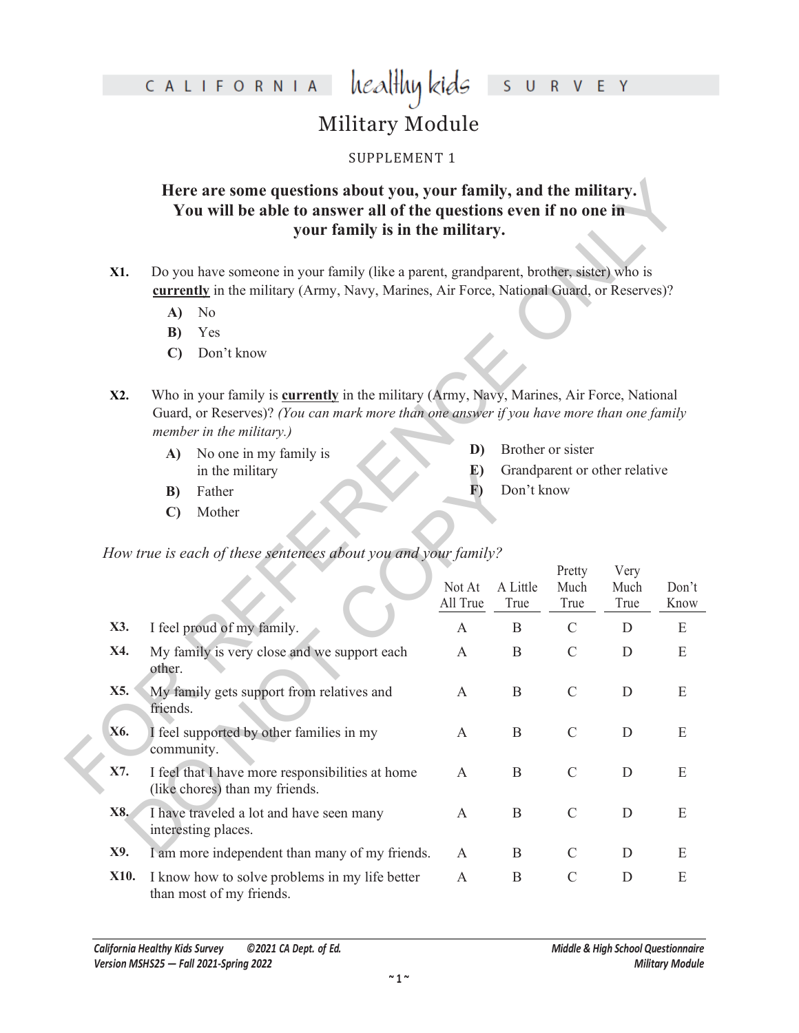healthy kids R V E Y S  $\cup$ 

## Military Module

#### SUPPLEMENT 1

#### **Here are some questions about you, your family, and the military. You will be able to answer all of the questions even if no one in your family is in the military.**

- **X1.** Do you have someone in your family (like a parent, grandparent, brother, sister) who is **currently** in the military (Army, Navy, Marines, Air Force, National Guard, or Reserves)?
	- **A)** No
	- **B)** Yes
	- **C)** Don't know
- **X2.** Who in your family is **currently** in the military (Army, Navy, Marines, Air Force, National Guard, or Reserves)? *(You can mark more than one answer if you have more than one family member in the military.)*
	- **A)** No one in my family is in the military

- **B)** Father
- **C)** Mother

|                                                                                                                                                                                                                                 |                                                        | Here are some questions about you, your family, and the military.<br>You will be able to answer all of the questions even if no one in<br>your family is in the military.           |                    |                               |                   |              |               |  |  |  |  |  |
|---------------------------------------------------------------------------------------------------------------------------------------------------------------------------------------------------------------------------------|--------------------------------------------------------|-------------------------------------------------------------------------------------------------------------------------------------------------------------------------------------|--------------------|-------------------------------|-------------------|--------------|---------------|--|--|--|--|--|
| X1.                                                                                                                                                                                                                             |                                                        | Do you have someone in your family (like a parent, grandparent, brother, sister) who is<br>currently in the military (Army, Navy, Marines, Air Force, National Guard, or Reserves)? |                    |                               |                   |              |               |  |  |  |  |  |
|                                                                                                                                                                                                                                 | A)                                                     | N <sub>o</sub>                                                                                                                                                                      |                    |                               |                   |              |               |  |  |  |  |  |
|                                                                                                                                                                                                                                 | B)                                                     | Yes                                                                                                                                                                                 |                    |                               |                   |              |               |  |  |  |  |  |
|                                                                                                                                                                                                                                 | $\mathbf{C}$                                           | Don't know                                                                                                                                                                          |                    |                               |                   |              |               |  |  |  |  |  |
| Who in your family is <b>currently</b> in the military (Army, Navy, Marines, Air Force, National<br>X2.<br>Guard, or Reserves)? (You can mark more than one answer if you have more than one family<br>member in the military.) |                                                        |                                                                                                                                                                                     |                    |                               |                   |              |               |  |  |  |  |  |
|                                                                                                                                                                                                                                 | A)                                                     | No one in my family is                                                                                                                                                              | D)                 |                               | Brother or sister |              |               |  |  |  |  |  |
|                                                                                                                                                                                                                                 |                                                        | in the military                                                                                                                                                                     | E)                 | Grandparent or other relative |                   |              |               |  |  |  |  |  |
|                                                                                                                                                                                                                                 | B)                                                     | Father                                                                                                                                                                              | $\bf{F})$          | Don't know                    |                   |              |               |  |  |  |  |  |
|                                                                                                                                                                                                                                 | $\mathbf{C}$                                           | Mother                                                                                                                                                                              |                    |                               |                   |              |               |  |  |  |  |  |
|                                                                                                                                                                                                                                 |                                                        | How true is each of these sentences about you and your family?                                                                                                                      |                    |                               |                   |              |               |  |  |  |  |  |
|                                                                                                                                                                                                                                 |                                                        |                                                                                                                                                                                     |                    |                               | Pretty            | Very         |               |  |  |  |  |  |
|                                                                                                                                                                                                                                 |                                                        |                                                                                                                                                                                     | Not At<br>All True | A Little<br>True              | Much<br>True      | Much<br>True | Don't<br>Know |  |  |  |  |  |
| X3.                                                                                                                                                                                                                             |                                                        | I feel proud of my family.                                                                                                                                                          | $\mathbf{A}$       | B                             | $\mathcal{C}$     | D            | E             |  |  |  |  |  |
| X4.                                                                                                                                                                                                                             | other.                                                 | My family is very close and we support each                                                                                                                                         | A                  | B                             | $\mathcal{C}$     | D            | E             |  |  |  |  |  |
| X5.                                                                                                                                                                                                                             | friends.                                               | My family gets support from relatives and                                                                                                                                           | A                  | B                             | $\mathcal{C}$     | D            | E             |  |  |  |  |  |
| X6.                                                                                                                                                                                                                             | I feel supported by other families in my<br>community. |                                                                                                                                                                                     |                    | B                             | $\mathcal{C}$     | D            | E             |  |  |  |  |  |
| X7.                                                                                                                                                                                                                             |                                                        | I feel that I have more responsibilities at home<br>(like chores) than my friends.                                                                                                  | A                  | $\bf{B}$                      | $\mathcal{C}$     | $\mathbf D$  | E             |  |  |  |  |  |
| X8.                                                                                                                                                                                                                             |                                                        | I have traveled a lot and have seen many<br>interesting places.                                                                                                                     | A                  | B                             | $\mathcal{C}$     | D            | E             |  |  |  |  |  |
| X9.                                                                                                                                                                                                                             |                                                        | I am more independent than many of my friends.                                                                                                                                      | A                  | B                             | C                 | D            | E             |  |  |  |  |  |
| X10.                                                                                                                                                                                                                            |                                                        | I know how to solve problems in my life better<br>than most of my friends.                                                                                                          | A                  | B                             | $\mathsf{C}$      | D            | E             |  |  |  |  |  |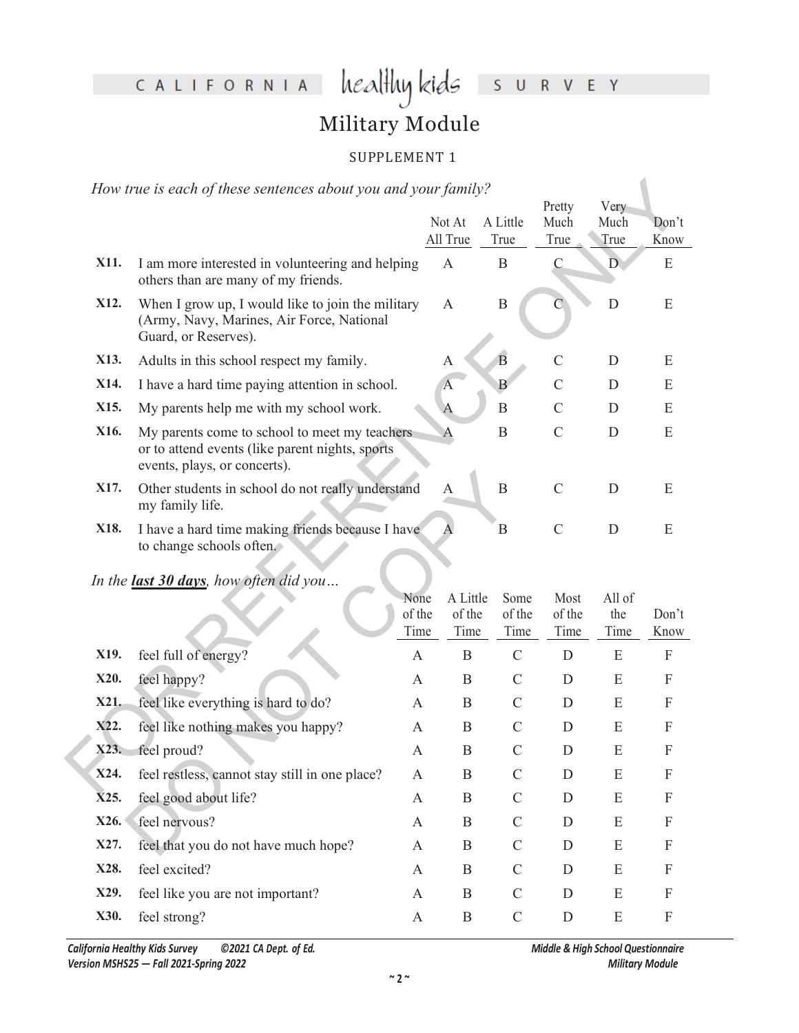# healthy kids survey

## Military Module

#### SUPPLEMENT 1

|      | How true is each of these sentences about you and your family?                                                                   |                        |                            |                        |                        |                       |                           |
|------|----------------------------------------------------------------------------------------------------------------------------------|------------------------|----------------------------|------------------------|------------------------|-----------------------|---------------------------|
|      |                                                                                                                                  |                        | Not At<br>All True         | A Little<br>True       | Pretty<br>Much<br>True | Very<br>Much<br>True  | Don't<br>Know             |
|      |                                                                                                                                  |                        |                            |                        |                        |                       |                           |
| X11. | I am more interested in volunteering and helping<br>others than are many of my friends.                                          |                        | $\mathbf{A}$               | $\mathbf B$            | $\mathbf C$            | $\mathbb{D}$          | E                         |
| X12. | When I grow up, I would like to join the military<br>(Army, Navy, Marines, Air Force, National<br>Guard, or Reserves).           |                        | $\mathbf{A}$               | $\, {\bf B}$           | $\overline{\rm C}$     | D                     | E                         |
| X13. | Adults in this school respect my family.                                                                                         |                        | $\mathbf{A}$               | $\overline{B}$         | $\mathcal{C}$          | D                     | E                         |
| X14. | I have a hard time paying attention in school.                                                                                   |                        | $\boldsymbol{A}$           | $\overline{B}$         | $\overline{C}$         | D                     | E                         |
| X15. | My parents help me with my school work.                                                                                          |                        | $\overline{A}$             | $\, {\bf B}$           | $\mathcal{C}$          | D                     | E                         |
| X16. | My parents come to school to meet my teachers<br>or to attend events (like parent nights, sports<br>events, plays, or concerts). |                        | $\mathbf{A}$               | $\bf{B}$               | $\mathcal{C}$          | D                     | E                         |
| X17. | Other students in school do not really understand<br>my family life.                                                             |                        | A                          | $\mathbf B$            | $\mathcal{C}$          | D                     | E                         |
| X18. | I have a hard time making friends because I have<br>to change schools often.                                                     |                        |                            | $\mathbf B$            | $\mathcal{C}$          | D                     | E                         |
|      | In the last 30 days, how often did you                                                                                           |                        |                            |                        |                        |                       |                           |
|      |                                                                                                                                  | None<br>of the<br>Time | A Little<br>of the<br>Time | Some<br>of the<br>Time | Most<br>of the<br>Time | All of<br>the<br>Time | Don't<br>Know             |
| X19. | feel full of energy?                                                                                                             | $\mathbf{A}$           | $\mathbf B$                | $\mathsf{C}$           | $\mathbf D$            | E                     | $\boldsymbol{\mathrm{F}}$ |
| X20. | feel happy?                                                                                                                      | A                      | $\mathbf B$                | $\mathcal{C}$          | $\mathbf{D}$           | E                     | F                         |
| X21. | feel like everything is hard to do?                                                                                              | A                      | B                          | $\mathsf{C}$           | D                      | E                     | $\boldsymbol{F}$          |
| X22. | feel like nothing makes you happy?                                                                                               | A                      | B                          | $\mathcal{C}$          | D                      | E                     | F                         |
| X23. | feel proud?                                                                                                                      | A                      | B                          | $\mathcal{C}$          | D                      | E                     | F                         |
| X24. | feel restless, cannot stay still in one place?                                                                                   | A                      | $\mathbf B$                | $\mathcal{C}$          | D                      | E                     | F                         |
|      | $\sim$ $\sim$ $\sim$                                                                                                             |                        |                            |                        |                        |                       |                           |

*In the last 30 days, how often did you…*

| X17. | Other students in school do not really understand<br>my family life.         |                | A                | B              | $\mathcal{C}$  | D           | E                         |
|------|------------------------------------------------------------------------------|----------------|------------------|----------------|----------------|-------------|---------------------------|
| X18. | I have a hard time making friends because I have<br>to change schools often. | A              | B                | $\mathcal{C}$  | D              | E           |                           |
|      | In the <b>last 30 days</b> , how often did you                               | None           | A Little         | Some           | Most           | All of      |                           |
|      |                                                                              | of the<br>Time | of the<br>Time   | of the<br>Time | of the<br>Time | the<br>Time | Don't<br>Know             |
| X19. | feel full of energy?                                                         | $\mathbf{A}$   | B                | $\mathcal{C}$  | D              | E           | ${\bf F}$                 |
| X20. | feel happy?                                                                  | A              | B                | $\mathcal{C}$  | D              | E           | F                         |
| X21. | feel like everything is hard to do?                                          | A              | B                | $\mathcal{C}$  | D              | E           | $\boldsymbol{\mathrm{F}}$ |
| X22. | feel like nothing makes you happy?                                           | A              | $\boldsymbol{B}$ | $\mathsf{C}$   | D              | E           | F                         |
| X23. | feel proud?                                                                  | A              | $\boldsymbol{B}$ | $\mathcal{C}$  | D              | E           | F                         |
| X24. | feel restless, cannot stay still in one place?                               | A              | B                | $\mathcal{C}$  | D              | E           | $\boldsymbol{\mathrm{F}}$ |
| X25. | feel good about life?                                                        | A              | B                | C              | D              | E           | $\boldsymbol{\mathrm{F}}$ |
| X26. | feel nervous?                                                                | A              | B                | $\mathcal{C}$  | D              | E           | ${\bf F}$                 |
| X27. | feel that you do not have much hope?                                         | A              | B                | $\mathcal{C}$  | D              | E           | F                         |
| X28. | feel excited?                                                                | A              | B                | $\mathcal{C}$  | D              | E           | F                         |
| X29. | feel like you are not important?                                             | A              | B                | $\mathsf{C}$   | D              | E           | F                         |
| X30. | feel strong?                                                                 | A              | B                | $\mathcal{C}$  | D              | E           | F                         |
|      |                                                                              |                |                  |                |                |             |                           |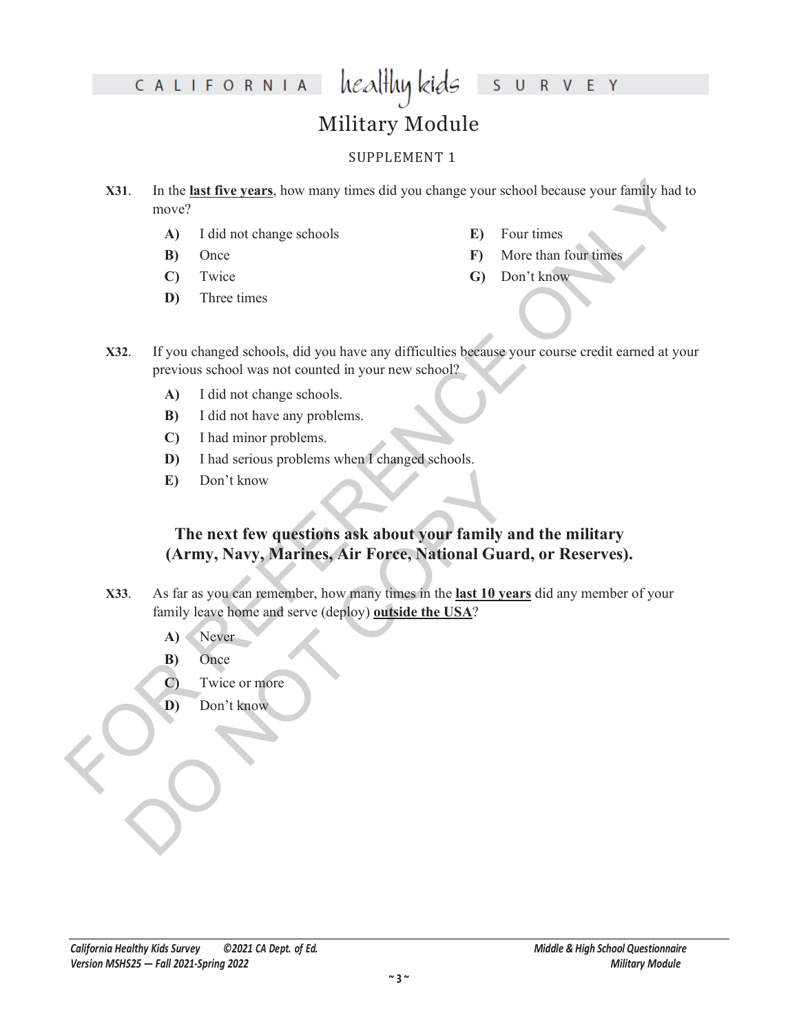#### healthy kids S U R V E Y

# Military Module

#### SUPPLEMENT 1

- **S31.** In the **last five years**, how many times did you change your school because your family had to move?<br>
A) I did not change schools<br> **E)** Four times<br>
FD Once<br>
C) Twice<br>
C) There times<br>
C) There times<br>
C) Don't know<br> **X31**. In the **last five years**, how many times did you change your school because your family had to move?
	- **A)** I did not change schools
	- **B)** Once
	- **C)** Twice
	- **D)** Three times
- **E)** Four times
- **F)** More than four times
- **G)** Don't know
- **X32**. If you changed schools, did you have any difficulties because your course credit earned at your previous school was not counted in your new school?
	- **A)** I did not change schools.
	- **B)** I did not have any problems.
	- **C)** I had minor problems.
	- **D)** I had serious problems when I changed schools.
	- **E)** Don't know

# E) Don't know<br>
The next few questions ask about your family an<br>
(Army, Navy, Marines, Air Force, National Guard<br>
3. As far as you can remember, how many times in the <u>last 10 year</u><br>
family leave home and serve (deploy) <u>o</u> **The next few questions ask about your family and the military (Army, Navy, Marines, Air Force, National Guard, or Reserves).**

- **X33**. As far as you can remember, how many times in the **last 10 years** did any member of your family leave home and serve (deploy) **outside the USA**?
	- **A)** Never
	- **B)** Once
	- **C)** Twice or more
	- **D)** Don't know